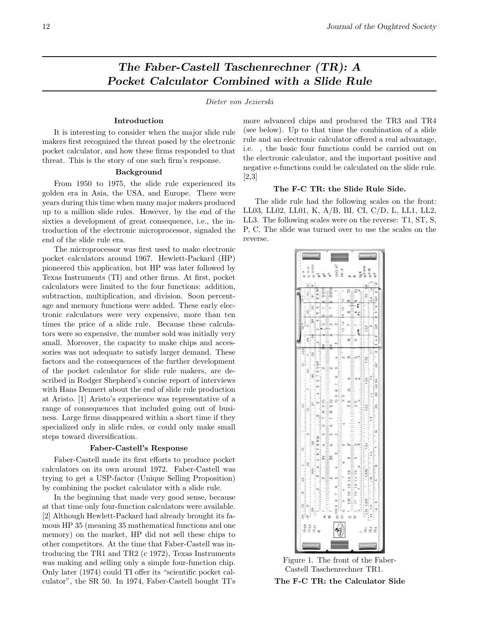# The Faber-Castell Taschenrechner (TR): A Pocket Calculator Combined with a Slide Rule

Dieter von Jezierski

# Introduction

It is interesting to consider when the major slide rule makers first recognized the threat posed by the electronic pocket calculator, and how these firms responded to that threat. This is the story of one such firm's response.

## Background

From 1950 to 1975, the slide rule experienced its golden era in Asia, the USA, and Europe. There were years during this time when many major makers produced up to a million slide rules. However, by the end of the sixties a development of great consequence, i.e., the introduction of the electronic microprocessor, signaled the end of the slide rule era.

The microprocessor was first used to make electronic pocket calculators around 1967. Hewlett-Packard (HP) pioneered this application, but HP was later followed by Texas Instruments (TI) and other firms. At first, pocket calculators were limited to the four functions: addition, subtraction, multiplication, and division. Soon percentage and memory functions were added. These early electronic calculators were very expensive, more than ten times the price of a slide rule. Because these calculators were so expensive, the number sold was initially very small. Moreover, the capacity to make chips and accessories was not adequate to satisfy larger demand. These factors and the consequences of the further development of the pocket calculator for slide rule makers, are described in Rodger Shepherd's concise report of interviews with Hans Dennert about the end of slide rule production at Aristo. [1] Aristo's experience was representative of a range of consequences that included going out of business. Large firms disappeared within a short time if they specialized only in slide rules, or could only make small steps toward diversification.

### Faber-Castell's Response

Faber-Castell made its first efforts to produce pocket calculators on its own around 1972. Faber-Castell was trying to get a USP-factor (Unique Selling Proposition) by combining the pocket calculator with a slide rule.

In the beginning that made very good sense, because at that time only four-function calculators were available. [2] Although Hewlett-Packard had already brought its famous HP 35 (meaning 35 mathematical functions and one memory) on the market, HP did not sell these chips to other competitors. At the time that Faber-Castell was introducing the TR1 and TR2 (c 1972), Texas Instruments was making and selling only a simple four-function chip. Only later (1974) could TI offer its "scientific pocket calculator", the SR 50. In 1974, Faber-Castell bought TI's more advanced chips and produced the TR3 and TR4 (see below). Up to that time the combination of a slide rule and an electronic calculator offered a real advantage, i.e. , the basic four functions could be carried out on the electronic calculator, and the important positive and negative e-functions could be calculated on the slide rule. [2,3]

# The F-C TR: the Slide Rule Side.

The slide rule had the following scales on the front: LL03, LL02, LL01, K, A/B, BI, CI, C/D, L, LL1, LL2, LL3. The following scales were on the reverse: T1, ST, S, P, C. The slide was turned over to use the scales on the reverse.



Figure 1. The front of the Faber-Castell Taschenrechner TR1.

The F-C TR: the Calculator Side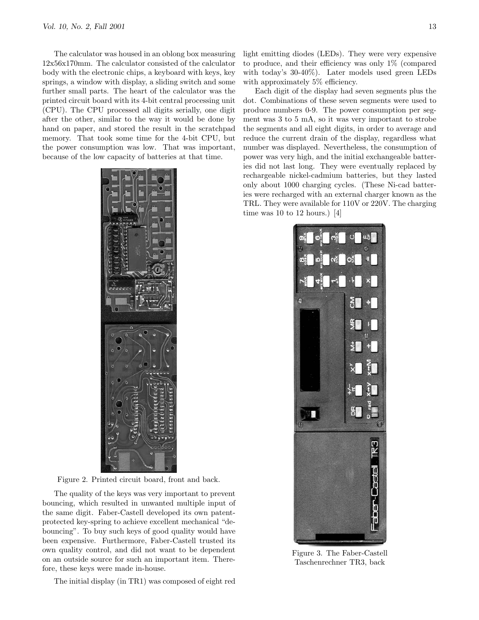The calculator was housed in an oblong box measuring 12x56x170mm. The calculator consisted of the calculator body with the electronic chips, a keyboard with keys, key springs, a window with display, a sliding switch and some further small parts. The heart of the calculator was the printed circuit board with its 4-bit central processing unit (CPU). The CPU processed all digits serially, one digit after the other, similar to the way it would be done by hand on paper, and stored the result in the scratchpad memory. That took some time for the 4-bit CPU, but the power consumption was low. That was important, because of the low capacity of batteries at that time.



Figure 2. Printed circuit board, front and back.

The quality of the keys was very important to prevent bouncing, which resulted in unwanted multiple input of the same digit. Faber-Castell developed its own patentprotected key-spring to achieve excellent mechanical "debouncing". To buy such keys of good quality would have been expensive. Furthermore, Faber-Castell trusted its own quality control, and did not want to be dependent on an outside source for such an important item. Therefore, these keys were made in-house.

The initial display (in TR1) was composed of eight red

light emitting diodes (LEDs). They were very expensive to produce, and their efficiency was only 1% (compared with today's 30-40%). Later models used green LEDs with approximately 5% efficiency.

Each digit of the display had seven segments plus the dot. Combinations of these seven segments were used to produce numbers 0-9. The power consumption per segment was 3 to 5 mA, so it was very important to strobe the segments and all eight digits, in order to average and reduce the current drain of the display, regardless what number was displayed. Nevertheless, the consumption of power was very high, and the initial exchangeable batteries did not last long. They were eventually replaced by rechargeable nickel-cadmium batteries, but they lasted only about 1000 charging cycles. (These Ni-cad batteries were recharged with an external charger known as the TRL. They were available for 110V or 220V. The charging time was 10 to 12 hours.) [4]



Figure 3. The Faber-Castell Taschenrechner TR3, back